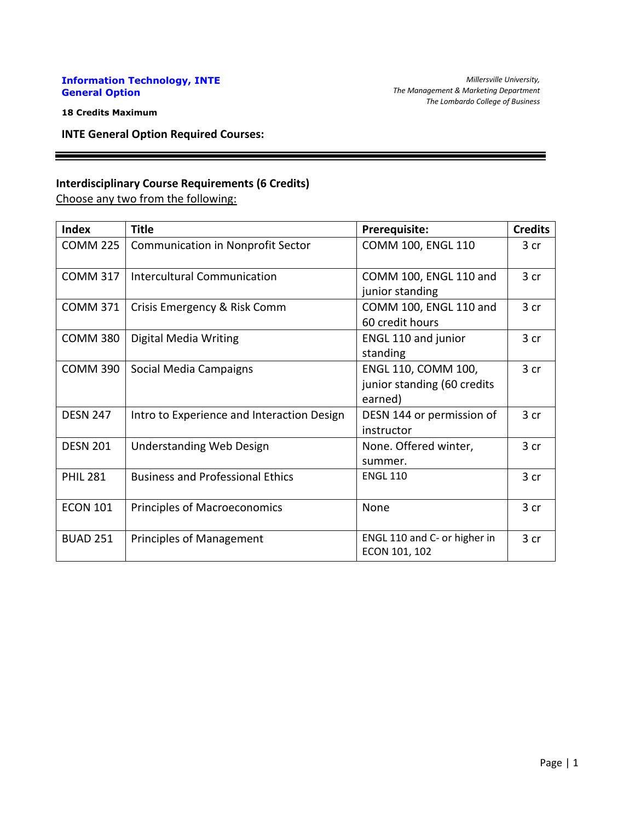## **Information Technology, INTE General Option**

**18 Credits Maximum**

**INTE General Option Required Courses:**

## **Interdisciplinary Course Requirements (6 Credits)**

Choose any two from the following:

| <b>Index</b>    | <b>Title</b>                               | Prerequisite:                                                 | <b>Credits</b>  |
|-----------------|--------------------------------------------|---------------------------------------------------------------|-----------------|
| <b>COMM 225</b> | <b>Communication in Nonprofit Sector</b>   | COMM 100, ENGL 110                                            | 3 cr            |
| <b>COMM 317</b> | <b>Intercultural Communication</b>         | COMM 100, ENGL 110 and<br>junior standing                     | 3 <sub>cr</sub> |
| <b>COMM 371</b> | Crisis Emergency & Risk Comm               | COMM 100, ENGL 110 and<br>60 credit hours                     | 3 cr            |
| <b>COMM 380</b> | Digital Media Writing                      | <b>ENGL 110 and junior</b><br>standing                        | 3 <sub>cr</sub> |
| <b>COMM 390</b> | Social Media Campaigns                     | ENGL 110, COMM 100,<br>junior standing (60 credits<br>earned) | 3 cr            |
| <b>DESN 247</b> | Intro to Experience and Interaction Design | DESN 144 or permission of<br>instructor                       | 3 cr            |
| <b>DESN 201</b> | <b>Understanding Web Design</b>            | None. Offered winter,<br>summer.                              | 3 <sub>cr</sub> |
| <b>PHIL 281</b> | <b>Business and Professional Ethics</b>    | <b>ENGL 110</b>                                               | 3 cr            |
| <b>ECON 101</b> | <b>Principles of Macroeconomics</b>        | None                                                          | 3 <sub>cr</sub> |
| <b>BUAD 251</b> | <b>Principles of Management</b>            | ENGL 110 and C- or higher in<br>ECON 101, 102                 | 3 cr            |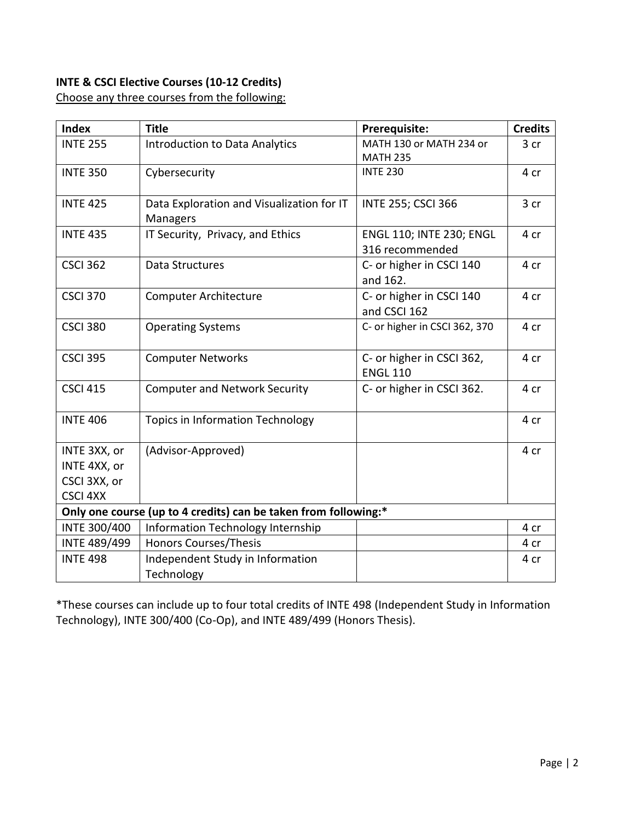# **INTE & CSCI Elective Courses (10-12 Credits)**

Choose any three courses from the following:

| <b>Index</b>                                                    | <b>Title</b>                              | Prerequisite:                 | <b>Credits</b> |  |
|-----------------------------------------------------------------|-------------------------------------------|-------------------------------|----------------|--|
| <b>INTE 255</b>                                                 | <b>Introduction to Data Analytics</b>     | MATH 130 or MATH 234 or       | 3 cr           |  |
|                                                                 |                                           | <b>MATH 235</b>               |                |  |
| <b>INTE 350</b>                                                 | Cybersecurity                             | <b>INTE 230</b>               | 4 cr           |  |
| <b>INTE 425</b>                                                 | Data Exploration and Visualization for IT | <b>INTE 255; CSCI 366</b>     | 3 cr           |  |
|                                                                 | Managers                                  |                               |                |  |
| <b>INTE 435</b>                                                 | IT Security, Privacy, and Ethics          | ENGL 110; INTE 230; ENGL      | 4 cr           |  |
|                                                                 |                                           | 316 recommended               |                |  |
| <b>CSCI 362</b>                                                 | Data Structures                           | C- or higher in CSCI 140      | 4 cr           |  |
|                                                                 |                                           | and 162.                      |                |  |
| <b>CSCI 370</b>                                                 | <b>Computer Architecture</b>              | C- or higher in CSCI 140      | 4 cr           |  |
|                                                                 |                                           | and CSCI 162                  |                |  |
| <b>CSCI 380</b>                                                 | <b>Operating Systems</b>                  | C- or higher in CSCI 362, 370 | 4 cr           |  |
|                                                                 |                                           |                               |                |  |
| <b>CSCI 395</b>                                                 | <b>Computer Networks</b>                  | C- or higher in CSCI 362,     | 4 cr           |  |
|                                                                 |                                           | <b>ENGL 110</b>               |                |  |
| <b>CSCI 415</b>                                                 | <b>Computer and Network Security</b>      | C- or higher in CSCI 362.     | 4 cr           |  |
|                                                                 |                                           |                               |                |  |
| <b>INTE 406</b>                                                 | <b>Topics in Information Technology</b>   |                               | 4 cr           |  |
| INTE 3XX, or                                                    | (Advisor-Approved)                        |                               | 4 cr           |  |
| INTE 4XX, or                                                    |                                           |                               |                |  |
| CSCI 3XX, or                                                    |                                           |                               |                |  |
| <b>CSCI 4XX</b>                                                 |                                           |                               |                |  |
| Only one course (up to 4 credits) can be taken from following:* |                                           |                               |                |  |
| <b>INTE 300/400</b>                                             | Information Technology Internship         |                               | 4 cr           |  |
| <b>INTE 489/499</b>                                             | <b>Honors Courses/Thesis</b>              |                               | 4 cr           |  |
| <b>INTE 498</b>                                                 | Independent Study in Information          |                               | 4 cr           |  |
|                                                                 | Technology                                |                               |                |  |

\*These courses can include up to four total credits of INTE 498 (Independent Study in Information Technology), INTE 300/400 (Co-Op), and INTE 489/499 (Honors Thesis).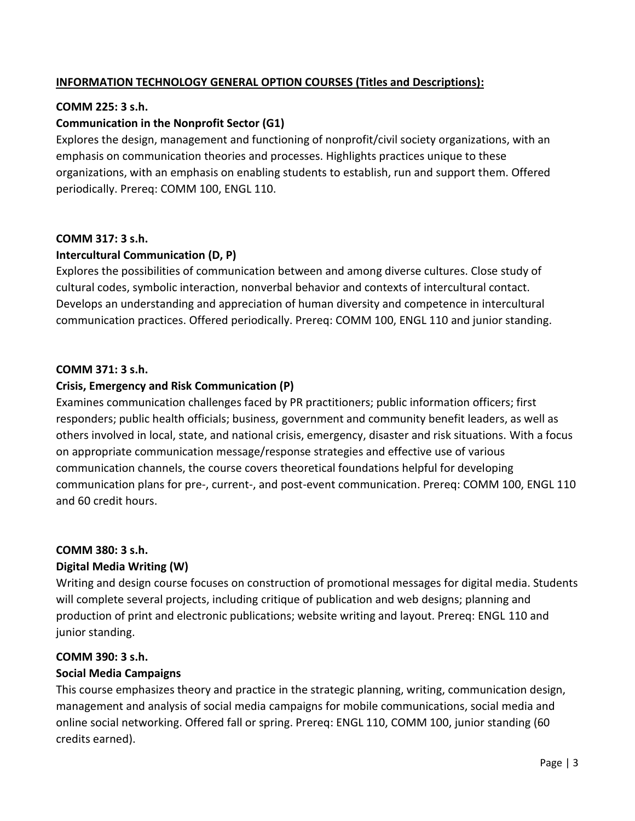# **INFORMATION TECHNOLOGY GENERAL OPTION COURSES (Titles and Descriptions):**

## **COMM 225: 3 s.h.**

## **Communication in the Nonprofit Sector (G1)**

Explores the design, management and functioning of nonprofit/civil society organizations, with an emphasis on communication theories and processes. Highlights practices unique to these organizations, with an emphasis on enabling students to establish, run and support them. Offered periodically. Prereq: COMM 100, ENGL 110.

## **COMM 317: 3 s.h.**

## **Intercultural Communication (D, P)**

Explores the possibilities of communication between and among diverse cultures. Close study of cultural codes, symbolic interaction, nonverbal behavior and contexts of intercultural contact. Develops an understanding and appreciation of human diversity and competence in intercultural communication practices. Offered periodically. Prereq: COMM 100, ENGL 110 and junior standing.

## **COMM 371: 3 s.h.**

## **Crisis, Emergency and Risk Communication (P)**

Examines communication challenges faced by PR practitioners; public information officers; first responders; public health officials; business, government and community benefit leaders, as well as others involved in local, state, and national crisis, emergency, disaster and risk situations. With a focus on appropriate communication message/response strategies and effective use of various communication channels, the course covers theoretical foundations helpful for developing communication plans for pre-, current-, and post-event communication. Prereq: COMM 100, ENGL 110 and 60 credit hours.

## **COMM 380: 3 s.h.**

## **Digital Media Writing (W)**

Writing and design course focuses on construction of promotional messages for digital media. Students will complete several projects, including critique of publication and web designs; planning and production of print and electronic publications; website writing and layout. Prereq: ENGL 110 and junior standing.

## **COMM 390: 3 s.h.**

## **Social Media Campaigns**

This course emphasizes theory and practice in the strategic planning, writing, communication design, management and analysis of social media campaigns for mobile communications, social media and online social networking. Offered fall or spring. Prereq: ENGL 110, COMM 100, junior standing (60 credits earned).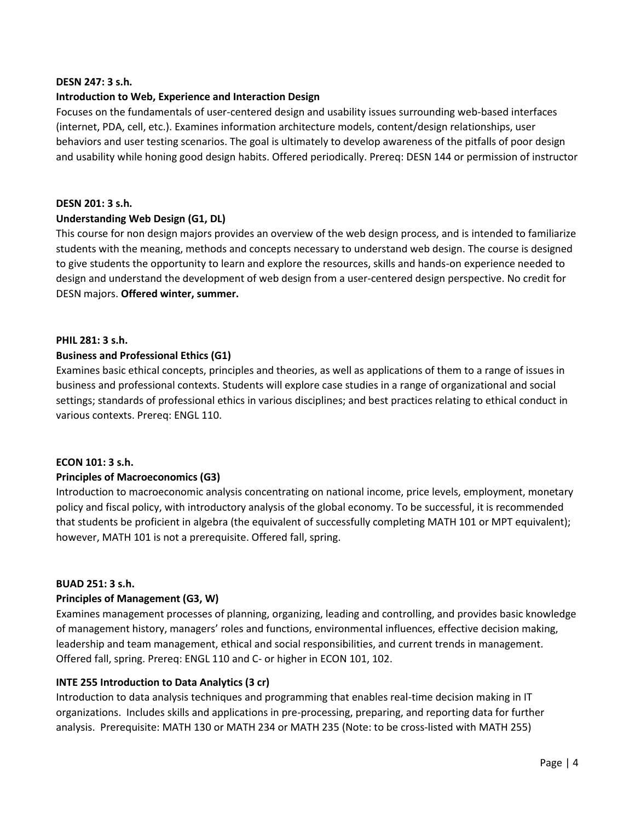#### **DESN 247: 3 s.h.**

### **Introduction to Web, Experience and Interaction Design**

Focuses on the fundamentals of user-centered design and usability issues surrounding web-based interfaces (internet, PDA, cell, etc.). Examines information architecture models, content/design relationships, user behaviors and user testing scenarios. The goal is ultimately to develop awareness of the pitfalls of poor design and usability while honing good design habits. Offered periodically. Prereq: DESN 144 or permission of instructor

#### **DESN 201: 3 s.h.**

#### **Understanding Web Design (G1, DL)**

This course for non design majors provides an overview of the web design process, and is intended to familiarize students with the meaning, methods and concepts necessary to understand web design. The course is designed to give students the opportunity to learn and explore the resources, skills and hands-on experience needed to design and understand the development of web design from a user-centered design perspective. No credit for DESN majors. **Offered winter, summer.**

#### **PHIL 281: 3 s.h.**

#### **Business and Professional Ethics (G1)**

Examines basic ethical concepts, principles and theories, as well as applications of them to a range of issues in business and professional contexts. Students will explore case studies in a range of organizational and social settings; standards of professional ethics in various disciplines; and best practices relating to ethical conduct in various contexts. Prereq: ENGL 110.

#### **ECON 101: 3 s.h.**

## **Principles of Macroeconomics (G3)**

Introduction to macroeconomic analysis concentrating on national income, price levels, employment, monetary policy and fiscal policy, with introductory analysis of the global economy. To be successful, it is recommended that students be proficient in algebra (the equivalent of successfully completing MATH 101 or MPT equivalent); however, MATH 101 is not a prerequisite. Offered fall, spring.

#### **BUAD 251: 3 s.h.**

## **Principles of Management (G3, W)**

Examines management processes of planning, organizing, leading and controlling, and provides basic knowledge of management history, managers' roles and functions, environmental influences, effective decision making, leadership and team management, ethical and social responsibilities, and current trends in management. Offered fall, spring. Prereq: ENGL 110 and C- or higher in ECON 101, 102.

## **INTE 255 Introduction to Data Analytics (3 cr)**

Introduction to data analysis techniques and programming that enables real-time decision making in IT organizations. Includes skills and applications in pre-processing, preparing, and reporting data for further analysis. Prerequisite: MATH 130 or MATH 234 or MATH 235 (Note: to be cross-listed with MATH 255)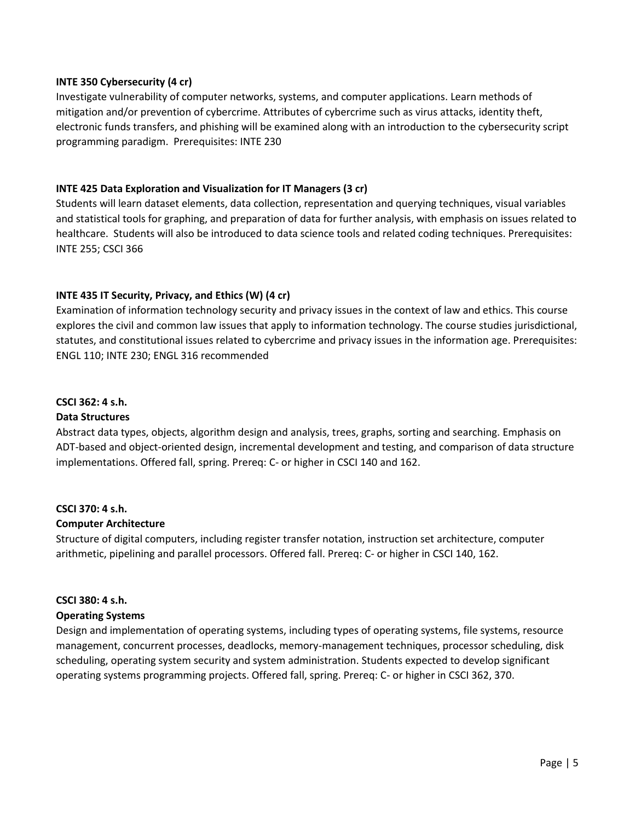### **INTE 350 Cybersecurity (4 cr)**

Investigate vulnerability of computer networks, systems, and computer applications. Learn methods of mitigation and/or prevention of cybercrime. Attributes of cybercrime such as virus attacks, identity theft, electronic funds transfers, and phishing will be examined along with an introduction to the cybersecurity script programming paradigm. Prerequisites: INTE 230

#### **INTE 425 Data Exploration and Visualization for IT Managers (3 cr)**

Students will learn dataset elements, data collection, representation and querying techniques, visual variables and statistical tools for graphing, and preparation of data for further analysis, with emphasis on issues related to healthcare. Students will also be introduced to data science tools and related coding techniques. Prerequisites: INTE 255; CSCI 366

## **INTE 435 IT Security, Privacy, and Ethics (W) (4 cr)**

Examination of information technology security and privacy issues in the context of law and ethics. This course explores the civil and common law issues that apply to information technology. The course studies jurisdictional, statutes, and constitutional issues related to cybercrime and privacy issues in the information age. Prerequisites: ENGL 110; INTE 230; ENGL 316 recommended

## **CSCI 362: 4 s.h.**

## **Data Structures**

Abstract data types, objects, algorithm design and analysis, trees, graphs, sorting and searching. Emphasis on ADT-based and object-oriented design, incremental development and testing, and comparison of data structure implementations. Offered fall, spring. Prereq: C- or higher in CSCI 140 and 162.

## **CSCI 370: 4 s.h.**

#### **Computer Architecture**

Structure of digital computers, including register transfer notation, instruction set architecture, computer arithmetic, pipelining and parallel processors. Offered fall. Prereq: C- or higher in CSCI 140, 162.

## **CSCI 380: 4 s.h.**

## **Operating Systems**

Design and implementation of operating systems, including types of operating systems, file systems, resource management, concurrent processes, deadlocks, memory-management techniques, processor scheduling, disk scheduling, operating system security and system administration. Students expected to develop significant operating systems programming projects. Offered fall, spring. Prereq: C- or higher in CSCI 362, 370.